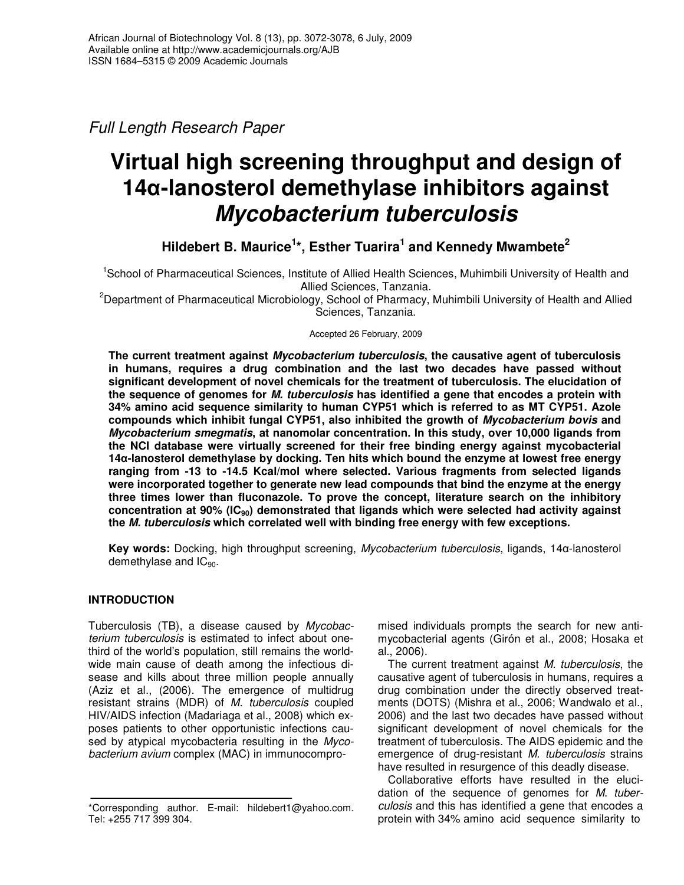*Full Length Research Paper*

# **Virtual high screening throughput and design of 14-lanosterol demethylase inhibitors against** *Mycobacterium tuberculosis*

**Hildebert B. Maurice 1 \*, Esther Tuarira 1 and Kennedy Mwambete 2**

<sup>1</sup>School of Pharmaceutical Sciences, Institute of Allied Health Sciences, Muhimbili University of Health and Allied Sciences, Tanzania.

<sup>2</sup>Department of Pharmaceutical Microbiology, School of Pharmacy, Muhimbili University of Health and Allied Sciences, Tanzania.

## Accepted 26 February, 2009

**The current treatment against** *Mycobacterium tuberculosis***, the causative agent of tuberculosis in humans, requires a drug combination and the last two decades have passed without significant development of novel chemicals for the treatment of tuberculosis. The elucidation of the sequence of genomes for** *M. tuberculosis* **has identified a gene that encodes a protein with 34% amino acid sequence similarity to human CYP51 which is referred to as MT CYP51. Azole compounds which inhibit fungal CYP51, also inhibited the growth of** *Mycobacterium bovis* **and** *Mycobacterium smegmatis***, at nanomolar concentration. In this study, over 10,000 ligands from the NCI database were virtually screened for their free binding energy against mycobacterial 14-lanosterol demethylase by docking. Ten hits which bound the enzyme at lowest free energy ranging from -13 to -14.5 Kcal/mol where selected. Various fragments from selected ligands were incorporated together to generate new lead compounds that bind the enzyme at the energy three times lower than fluconazole. To prove the concept, literature search on the inhibitory concentration at 90% (IC90) demonstrated that ligands which were selected had activity against the** *M. tuberculosis* **which correlated well with binding free energy with few exceptions.**

**Key words:** Docking, high throughput screening, *Mycobacterium tuberculosis*, ligands, 14 $\alpha$ -lanosterol demethylase and  $IC_{90}$ .

# **INTRODUCTION**

Tuberculosis (TB), a disease caused by *Mycobacterium tuberculosis* is estimated to infect about onethird of the world's population, still remains the worldwide main cause of death among the infectious disease and kills about three million people annually (Aziz et al., (2006). The emergence of multidrug resistant strains (MDR) of *M. tuberculosis* coupled HIV/AIDS infection (Madariaga et al., 2008) which exposes patients to other opportunistic infections caused by atypical mycobacteria resulting in the *Mycobacterium avium* complex (MAC) in immunocompromised individuals prompts the search for new antimycobacterial agents (Girón et al., 2008; Hosaka et al., 2006).

The current treatment against *M. tuberculosis*, the causative agent of tuberculosis in humans, requires a drug combination under the directly observed treatments (DOTS) (Mishra et al., 2006; Wandwalo et al., 2006) and the last two decades have passed without significant development of novel chemicals for the treatment of tuberculosis. The AIDS epidemic and the emergence of drug-resistant *M. tuberculosis* strains have resulted in resurgence of this deadly disease.

Collaborative efforts have resulted in the elucidation of the sequence of genomes for *M. tuberculosis* and this has identified a gene that encodes a protein with 34% amino acid sequence similarity to

<sup>\*</sup>Corresponding author. E-mail: hildebert1@yahoo.com. Tel: +255 717 399 304.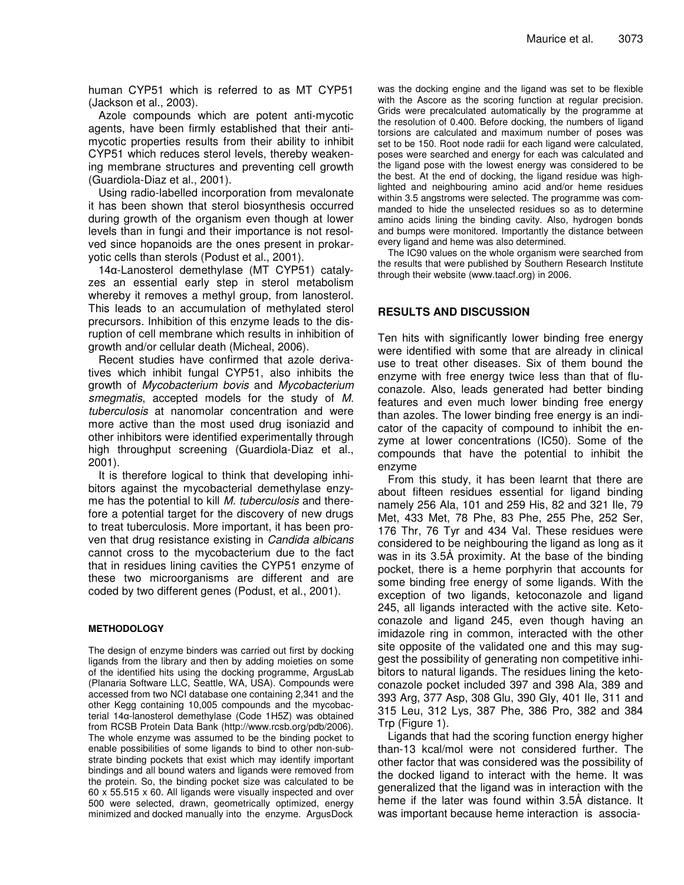human CYP51 which is referred to as MT CYP51 (Jackson et al., 2003).

Azole compounds which are potent anti-mycotic agents, have been firmly established that their antimycotic properties results from their ability to inhibit CYP51 which reduces sterol levels, thereby weakening membrane structures and preventing cell growth (Guardiola-Diaz et al., 2001).

Using radio-labelled incorporation from mevalonate it has been shown that sterol biosynthesis occurred during growth of the organism even though at lower levels than in fungi and their importance is not resolved since hopanoids are the ones present in prokaryotic cells than sterols (Podust et al., 2001).

 $14\alpha$ -Lanosterol demethylase (MT CYP51) catalyzes an essential early step in sterol metabolism whereby it removes a methyl group, from lanosterol. This leads to an accumulation of methylated sterol precursors. Inhibition of this enzyme leads to the disruption of cell membrane which results in inhibition of growth and/or cellular death (Micheal, 2006).

Recent studies have confirmed that azole derivatives which inhibit fungal CYP51, also inhibits the growth of *Mycobacterium bovis* and *Mycobacterium smegmatis*, accepted models for the study of *M. tuberculosis* at nanomolar concentration and were more active than the most used drug isoniazid and other inhibitors were identified experimentally through high throughput screening (Guardiola-Diaz et al., 2001).

It is therefore logical to think that developing inhibitors against the mycobacterial demethylase enzyme has the potential to kill *M. tuberculosis* and therefore a potential target for the discovery of new drugs to treat tuberculosis. More important, it has been proven that drug resistance existing in *Candida albicans* cannot cross to the mycobacterium due to the fact that in residues lining cavities the CYP51 enzyme of these two microorganisms are different and are coded by two different genes (Podust, et al., 2001).

### **METHODOLOGY**

The design of enzyme binders was carried out first by docking ligands from the library and then by adding moieties on some of the identified hits using the docking programme, ArgusLab (Planaria Software LLC, Seattle, WA, USA). Compounds were accessed from two NCI database one containing 2,341 and the other Kegg containing 10,005 compounds and the mycobacterial 14 $\alpha$ -lanosterol demethylase (Code 1H5Z) was obtained from RCSB Protein Data Bank (http://www.rcsb.org/pdb/2006). The whole enzyme was assumed to be the binding pocket to enable possibilities of some ligands to bind to other non-substrate binding pockets that exist which may identify important bindings and all bound waters and ligands were removed from the protein. So, the binding pocket size was calculated to be 60 x 55.515 x 60. All ligands were visually inspected and over 500 were selected, drawn, geometrically optimized, energy minimized and docked manually into the enzyme. ArgusDock

was the docking engine and the ligand was set to be flexible with the Ascore as the scoring function at regular precision. Grids were precalculated automatically by the programme at the resolution of 0.400. Before docking, the numbers of ligand torsions are calculated and maximum number of poses was set to be 150. Root node radii for each ligand were calculated, poses were searched and energy for each was calculated and the ligand pose with the lowest energy was considered to be the best. At the end of docking, the ligand residue was highlighted and neighbouring amino acid and/or heme residues within 3.5 angstroms were selected. The programme was commanded to hide the unselected residues so as to determine amino acids lining the binding cavity. Also, hydrogen bonds and bumps were monitored. Importantly the distance between every ligand and heme was also determined.

The IC90 values on the whole organism were searched from the results that were published by Southern Research Institute through their website (www.taacf.org) in 2006.

## **RESULTS AND DISCUSSION**

Ten hits with significantly lower binding free energy were identified with some that are already in clinical use to treat other diseases. Six of them bound the enzyme with free energy twice less than that of fluconazole. Also, leads generated had better binding features and even much lower binding free energy than azoles. The lower binding free energy is an indicator of the capacity of compound to inhibit the enzyme at lower concentrations (IC50). Some of the compounds that have the potential to inhibit the enzyme

From this study, it has been learnt that there are about fifteen residues essential for ligand binding namely 256 Ala, 101 and 259 His, 82 and 321 Ile, 79 Met, 433 Met, 78 Phe, 83 Phe, 255 Phe, 252 Ser, 176 Thr, 76 Tyr and 434 Val. These residues were considered to be neighbouring the ligand as long as it was in its 3.5Å proximity. At the base of the binding pocket, there is a heme porphyrin that accounts for some binding free energy of some ligands. With the exception of two ligands, ketoconazole and ligand 245, all ligands interacted with the active site. Ketoconazole and ligand 245, even though having an imidazole ring in common, interacted with the other site opposite of the validated one and this may suggest the possibility of generating non competitive inhibitors to natural ligands. The residues lining the ketoconazole pocket included 397 and 398 Ala, 389 and 393 Arg, 377 Asp, 308 Glu, 390 Gly, 401 Ile, 311 and 315 Leu, 312 Lys, 387 Phe, 386 Pro, 382 and 384 Trp (Figure 1).

Ligands that had the scoring function energy higher than-13 kcal/mol were not considered further. The other factor that was considered was the possibility of the docked ligand to interact with the heme. It was generalized that the ligand was in interaction with the heme if the later was found within 3.5Å distance. It was important because heme interaction is associa-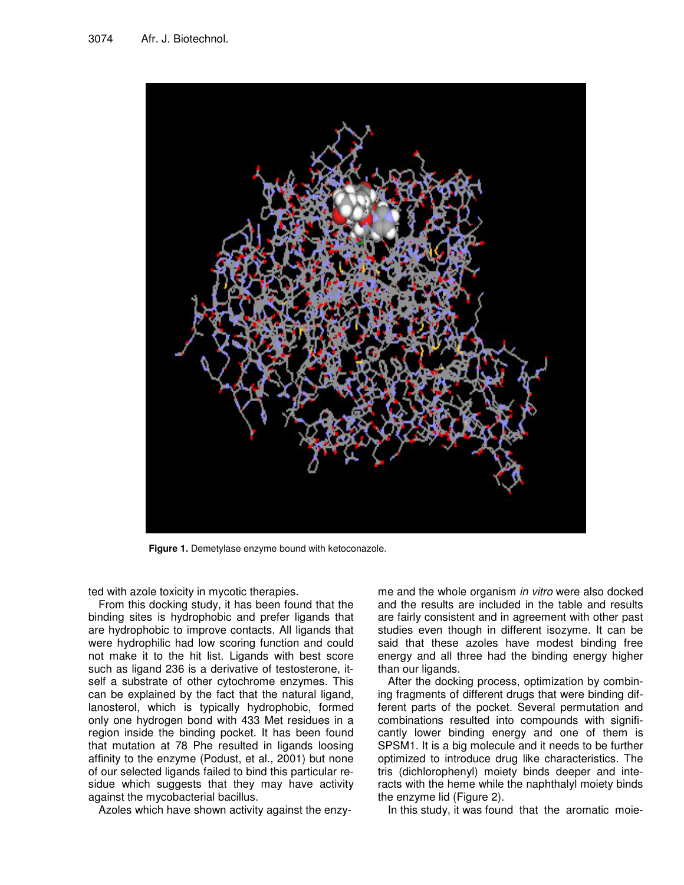

**Figure 1.** Demetylase enzyme bound with ketoconazole.

ted with azole toxicity in mycotic therapies.

From this docking study, it has been found that the binding sites is hydrophobic and prefer ligands that are hydrophobic to improve contacts. All ligands that were hydrophilic had low scoring function and could not make it to the hit list. Ligands with best score such as ligand 236 is a derivative of testosterone, itself a substrate of other cytochrome enzymes. This can be explained by the fact that the natural ligand, lanosterol, which is typically hydrophobic, formed only one hydrogen bond with 433 Met residues in a region inside the binding pocket. It has been found that mutation at 78 Phe resulted in ligands loosing affinity to the enzyme (Podust, et al., 2001) but none of our selected ligands failed to bind this particular residue which suggests that they may have activity against the mycobacterial bacillus.

Azoles which have shown activity against the enzy-

me and the whole organism *in vitro* were also docked and the results are included in the table and results are fairly consistent and in agreement with other past studies even though in different isozyme. It can be said that these azoles have modest binding free energy and all three had the binding energy higher than our ligands.

After the docking process, optimization by combining fragments of different drugs that were binding different parts of the pocket. Several permutation and combinations resulted into compounds with significantly lower binding energy and one of them is SPSM1. It is a big molecule and it needs to be further optimized to introduce drug like characteristics. The tris (dichlorophenyl) moiety binds deeper and interacts with the heme while the naphthalyl moiety binds the enzyme lid (Figure 2).

In this study, it was found that the aromatic moie-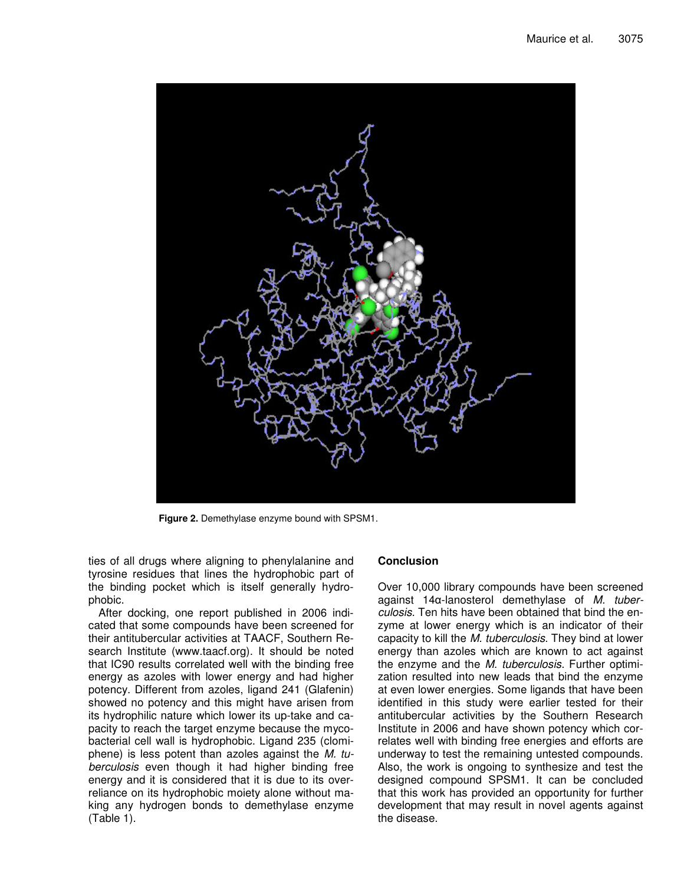

**Figure 2.** Demethylase enzyme bound with SPSM1.

ties of all drugs where aligning to phenylalanine and tyrosine residues that lines the hydrophobic part of the binding pocket which is itself generally hydrophobic.

After docking, one report published in 2006 indicated that some compounds have been screened for their antitubercular activities at TAACF, Southern Research Institute (www.taacf.org). It should be noted that IC90 results correlated well with the binding free energy as azoles with lower energy and had higher potency. Different from azoles, ligand 241 (Glafenin) showed no potency and this might have arisen from its hydrophilic nature which lower its up-take and capacity to reach the target enzyme because the mycobacterial cell wall is hydrophobic. Ligand 235 (clomiphene) is less potent than azoles against the *M. tuberculosis* even though it had higher binding free energy and it is considered that it is due to its overreliance on its hydrophobic moiety alone without making any hydrogen bonds to demethylase enzyme (Table 1).

## **Conclusion**

Over 10,000 library compounds have been screened against 14 $\alpha$ -lanosterol demethylase of *M. tuberculosis*. Ten hits have been obtained that bind the enzyme at lower energy which is an indicator of their capacity to kill the *M. tuberculosis*. They bind at lower energy than azoles which are known to act against the enzyme and the *M. tuberculosis*. Further optimization resulted into new leads that bind the enzyme at even lower energies. Some ligands that have been identified in this study were earlier tested for their antitubercular activities by the Southern Research Institute in 2006 and have shown potency which correlates well with binding free energies and efforts are underway to test the remaining untested compounds. Also, the work is ongoing to synthesize and test the designed compound SPSM1. It can be concluded that this work has provided an opportunity for further development that may result in novel agents against the disease.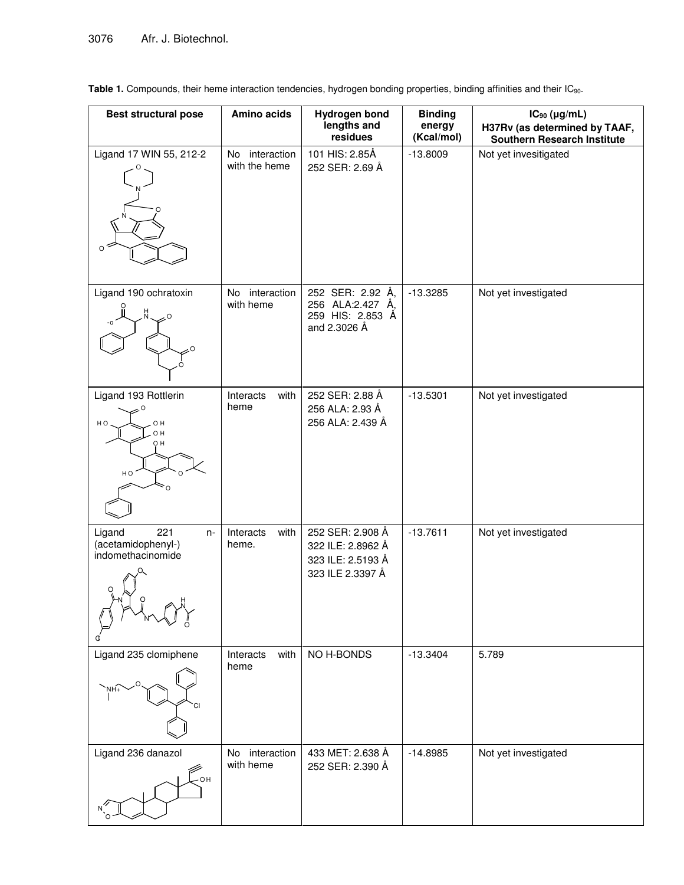Table 1. Compounds, their heme interaction tendencies, hydrogen bonding properties, binding affinities and their IC<sub>90</sub>.

| <b>Best structural pose</b>                                      | Amino acids                        | Hydrogen bond<br>lengths and<br>residues                                       | <b>Binding</b><br>energy<br>(Kcal/mol) | $IC_{90}$ (µg/mL)<br>H37Rv (as determined by TAAF,<br><b>Southern Research Institute</b> |
|------------------------------------------------------------------|------------------------------------|--------------------------------------------------------------------------------|----------------------------------------|------------------------------------------------------------------------------------------|
| Ligand 17 WIN 55, 212-2<br>O                                     | interaction<br>No<br>with the heme | 101 HIS: 2.85Å<br>252 SER: 2.69 Å                                              | $-13.8009$                             | Not yet invesitigated                                                                    |
| Ligand 190 ochratoxin                                            | interaction<br>No<br>with heme     | 252 SER: 2.92 Å,<br>256 ALA:2.427 Å,<br>259 HIS: 2.853 Å<br>and 2.3026 Å       | $-13.3285$                             | Not yet investigated                                                                     |
| Ligand 193 Rottlerin<br>O H<br>H O<br>O H<br>OН<br>HO            | Interacts<br>with<br>heme          | 252 SER: 2.88 Å<br>256 ALA: 2.93 Å<br>256 ALA: 2.439 Å                         | $-13.5301$                             | Not yet investigated                                                                     |
| 221<br>Ligand<br>$n-$<br>(acetamidophenyl-)<br>indomethacinomide | Interacts<br>with<br>heme.         | 252 SER: 2.908 Å<br>322 ILE: 2.8962 Å<br>323 ILE: 2.5193 Å<br>323 ILE 2.3397 Å | $-13.7611$                             | Not yet investigated                                                                     |
| Ligand 235 clomiphene                                            | with<br>Interacts<br>heme          | NO H-BONDS                                                                     | $-13.3404$                             | 5.789                                                                                    |
| Ligand 236 danazol<br>OН                                         | interaction<br>No.<br>with heme    | 433 MET: 2.638 Å<br>252 SER: 2.390 Å                                           | $-14.8985$                             | Not yet investigated                                                                     |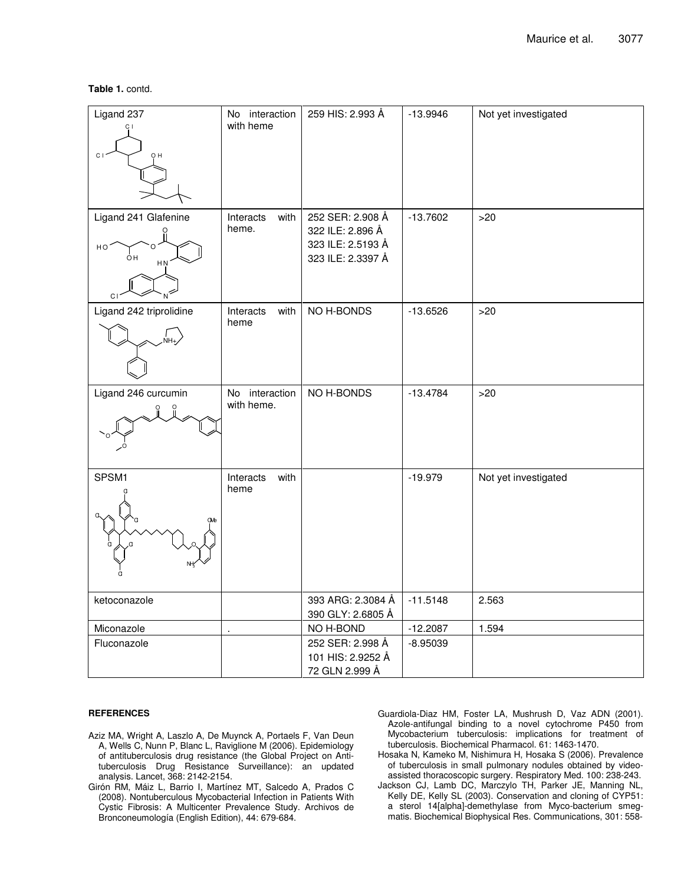### **Table 1.** contd.

| Ligand 237<br>C <sub>1</sub>                 | No interaction<br>with heme  | 259 HIS: 2.993 Å                                                               | $-13.9946$ | Not yet investigated |
|----------------------------------------------|------------------------------|--------------------------------------------------------------------------------|------------|----------------------|
| Ligand 241 Glafenine<br>HO<br>OН<br>HN<br>C1 | Interacts<br>with<br>heme.   | 252 SER: 2.908 Å<br>322 ILE: 2.896 Å<br>323 ILE: 2.5193 Å<br>323 ILE: 2.3397 Å | $-13.7602$ | >20                  |
| Ligand 242 triprolidine                      | Interacts<br>with<br>heme    | NO H-BONDS                                                                     | $-13.6526$ | >20                  |
| Ligand 246 curcumin                          | No interaction<br>with heme. | NO H-BONDS                                                                     | $-13.4784$ | >20                  |
| SPSM1                                        | Interacts<br>with<br>heme    |                                                                                | $-19.979$  | Not yet investigated |
| ketoconazole                                 |                              | 393 ARG: 2.3084 Å<br>390 GLY: 2.6805 Å                                         | $-11.5148$ | 2.563                |
| Miconazole                                   |                              | NO H-BOND                                                                      | $-12.2087$ | 1.594                |
| Fluconazole                                  |                              | 252 SER: 2.998 Å<br>101 HIS: 2.9252 Å<br>72 GLN 2.999 Å                        | $-8.95039$ |                      |

### **REFERENCES**

- Aziz MA, Wright A, Laszlo A, De Muynck A, Portaels F, Van Deun A, Wells C, Nunn P, Blanc L, Raviglione M (2006). Epidemiology of antituberculosis drug resistance (the Global Project on Antituberculosis Drug Resistance Surveillance): an updated analysis. Lancet, 368: 2142-2154.
- Girón RM, Máiz L, Barrio I, Martínez MT, Salcedo A, Prados C (2008). Nontuberculous Mycobacterial Infection in Patients With Cystic Fibrosis: A Multicenter Prevalence Study. Archivos de Bronconeumología (English Edition), 44: 679-684.
- Guardiola-Diaz HM, Foster LA, Mushrush D, Vaz ADN (2001). Azole-antifungal binding to a novel cytochrome P450 from Mycobacterium tuberculosis: implications for treatment of tuberculosis. Biochemical Pharmacol. 61: 1463-1470.
- Hosaka N, Kameko M, Nishimura H, Hosaka S (2006). Prevalence of tuberculosis in small pulmonary nodules obtained by videoassisted thoracoscopic surgery. Respiratory Med. 100: 238-243.
- Jackson CJ, Lamb DC, Marczylo TH, Parker JE, Manning NL, Kelly DE, Kelly SL (2003). Conservation and cloning of CYP51: a sterol 14[alpha]-demethylase from Myco-bacterium smegmatis. Biochemical Biophysical Res. Communications, 301: 558-